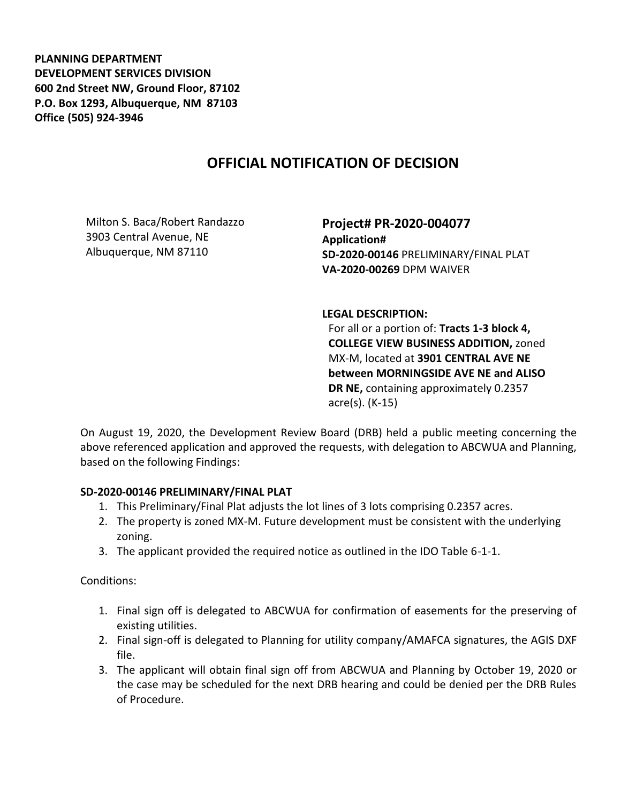**PLANNING DEPARTMENT DEVELOPMENT SERVICES DIVISION 600 2nd Street NW, Ground Floor, 87102 P.O. Box 1293, Albuquerque, NM 87103 Office (505) 924-3946** 

## **OFFICIAL NOTIFICATION OF DECISION**

Milton S. Baca/Robert Randazzo 3903 Central Avenue, NE Albuquerque, NM 87110

**Project# PR-2020-004077 Application# SD-2020-00146** PRELIMINARY/FINAL PLAT **VA-2020-00269** DPM WAIVER

## **LEGAL DESCRIPTION:**

For all or a portion of: **Tracts 1-3 block 4, COLLEGE VIEW BUSINESS ADDITION,** zoned MX-M, located at **3901 CENTRAL AVE NE between MORNINGSIDE AVE NE and ALISO DR NE,** containing approximately 0.2357 acre(s). (K-15)

On August 19, 2020, the Development Review Board (DRB) held a public meeting concerning the above referenced application and approved the requests, with delegation to ABCWUA and Planning, based on the following Findings:

## **SD-2020-00146 PRELIMINARY/FINAL PLAT**

- 1. This Preliminary/Final Plat adjusts the lot lines of 3 lots comprising 0.2357 acres.
- 2. The property is zoned MX-M. Future development must be consistent with the underlying zoning.
- 3. The applicant provided the required notice as outlined in the IDO Table 6-1-1.

Conditions:

- 1. Final sign off is delegated to ABCWUA for confirmation of easements for the preserving of existing utilities.
- 2. Final sign-off is delegated to Planning for utility company/AMAFCA signatures, the AGIS DXF file.
- 3. The applicant will obtain final sign off from ABCWUA and Planning by October 19, 2020 or the case may be scheduled for the next DRB hearing and could be denied per the DRB Rules of Procedure.